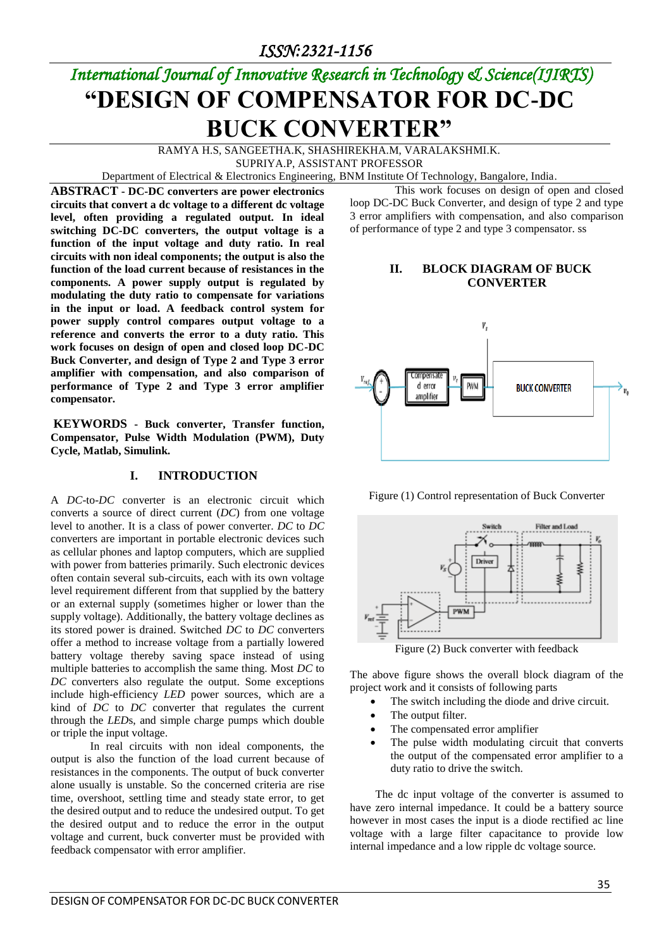*ISSN:2321-1156* 

# *International Journal of Innovative Research in Technology & Science(IJIRTS)* **"DESIGN OF COMPENSATOR FOR DC-DC BUCK CONVERTER"**

RAMYA H.S, SANGEETHA.K, SHASHIREKHA.M, VARALAKSHMI.K. SUPRIYA.P, ASSISTANT PROFESSOR

Department of Electrical & Electronics Engineering, BNM Institute Of Technology, Bangalore, India.

**ABSTRACT - DC-DC converters are power electronics circuits that convert a dc voltage to a different dc voltage level, often providing a regulated output. In ideal switching DC-DC converters, the output voltage is a function of the input voltage and duty ratio. In real circuits with non ideal components; the output is also the function of the load current because of resistances in the components. A power supply output is regulated by modulating the duty ratio to compensate for variations in the input or load. A feedback control system for power supply control compares output voltage to a reference and converts the error to a duty ratio. This work focuses on design of open and closed loop DC-DC Buck Converter, and design of Type 2 and Type 3 error amplifier with compensation, and also comparison of performance of Type 2 and Type 3 error amplifier compensator.**

**KEYWORDS - Buck converter, Transfer function, Compensator, Pulse Width Modulation (PWM), Duty Cycle, Matlab, Simulink.**

#### **I. INTRODUCTION**

A *DC*-to-*DC* converter is an electronic circuit which converts a source of direct current (*DC*) from one voltage level to another. It is a class of power converter. *DC* to *DC* converters are important in portable electronic devices such as cellular phones and laptop computers, which are supplied with power from batteries primarily. Such electronic devices often contain several sub-circuits, each with its own voltage level requirement different from that supplied by the battery or an external supply (sometimes higher or lower than the supply voltage). Additionally, the battery voltage declines as its stored power is drained. Switched *DC* to *DC* converters offer a method to increase voltage from a partially lowered battery voltage thereby saving space instead of using multiple batteries to accomplish the same thing. Most *DC* to *DC* converters also regulate the output. Some exceptions include high-efficiency *LED* power sources, which are a kind of *DC* to *DC* converter that regulates the current through the *LED*s, and simple charge pumps which double or triple the input voltage.

 In real circuits with non ideal components, the output is also the function of the load current because of resistances in the components. The output of buck converter alone usually is unstable. So the concerned criteria are rise time, overshoot, settling time and steady state error, to get the desired output and to reduce the undesired output. To get the desired output and to reduce the error in the output voltage and current, buck converter must be provided with feedback compensator with error amplifier.

 This work focuses on design of open and closed loop DC-DC Buck Converter, and design of type 2 and type 3 error amplifiers with compensation, and also comparison of performance of type 2 and type 3 compensator. ss

#### **II. BLOCK DIAGRAM OF BUCK CONVERTER**



Figure (1) Control representation of Buck Converter



Figure (2) Buck converter with feedback

The above figure shows the overall block diagram of the project work and it consists of following parts

- The switch including the diode and drive circuit.
- The output filter.
- The compensated error amplifier
- The pulse width modulating circuit that converts the output of the compensated error amplifier to a duty ratio to drive the switch.

 The dc input voltage of the converter is assumed to have zero internal impedance. It could be a battery source however in most cases the input is a diode rectified ac line voltage with a large filter capacitance to provide low internal impedance and a low ripple dc voltage source.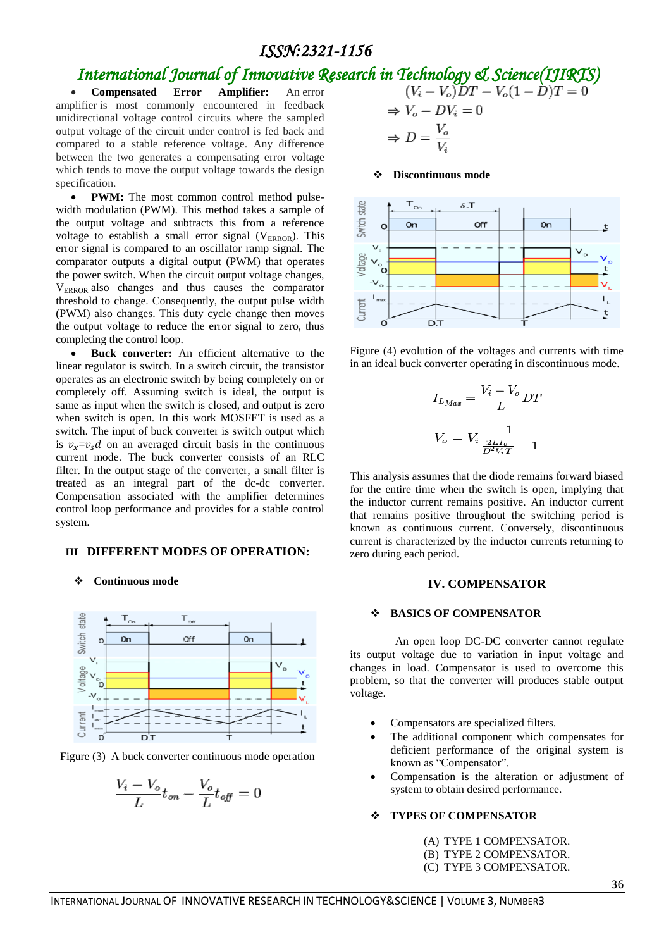## *ISSN:2321-1156*

## *International Journal of Innovative Research in Technology & Science(IJIRTS)*

 **Compensated Error Amplifier:** An error amplifier is most commonly encountered in feedback unidirectional voltage control circuits where the sampled output voltage of the circuit under control is fed back and compared to a stable reference voltage. Any difference between the two generates a compensating error voltage which tends to move the output voltage towards the design specification.

• **PWM:** The most common control method pulsewidth modulation (PWM). This method takes a sample of the output voltage and subtracts this from a reference voltage to establish a small error signal ( $V_{ERROR}$ ). This error signal is compared to an oscillator ramp signal. The comparator outputs a digital output (PWM) that operates the power switch. When the circuit output voltage changes, VERROR also changes and thus causes the comparator threshold to change. Consequently, the output pulse width (PWM) also changes. This duty cycle change then moves the output voltage to reduce the error signal to zero, thus completing the control loop.

 **Buck converter:** An efficient alternative to the linear regulator is switch. In a switch circuit, the transistor operates as an electronic switch by being completely on or completely off. Assuming switch is ideal, the output is same as input when the switch is closed, and output is zero when switch is open. In this work MOSFET is used as a switch. The input of buck converter is switch output which is  $v_x = v_x d$  on an averaged circuit basis in the continuous current mode. The buck converter consists of an RLC filter. In the output stage of the converter, a small filter is treated as an integral part of the dc-dc converter. Compensation associated with the amplifier determines control loop performance and provides for a stable control system.

#### **III DIFFERENT MODES OF OPERATION:**

#### **Continuous mode**



Figure (3) A buck converter continuous mode operation

$$
\frac{V_i - V_o}{L} t_{on} - \frac{V_o}{L} t_{off} = 0
$$

$$
(V_i - V_o)DT - V_o(1 - D)'
$$
  
\n
$$
\Rightarrow V_o - DV_i = 0
$$
  
\n
$$
\Rightarrow D = \frac{V_o}{V_i}
$$

#### **Discontinuous mode**





$$
I_{L_{Max}} = \frac{V_i - V_o}{L} DT
$$

$$
V_o = V_i \frac{1}{\frac{2L L_o}{D^2 V_i T} + 1}
$$

This analysis assumes that the diode remains forward biased for the entire time when the switch is open, implying that the inductor current remains positive. An inductor current that remains positive throughout the switching period is known as continuous current. Conversely, discontinuous current is characterized by the inductor currents returning to zero during each period.

#### **IV. COMPENSATOR**

#### **BASICS OF COMPENSATOR**

 An open loop DC-DC converter cannot regulate its output voltage due to variation in input voltage and changes in load. Compensator is used to overcome this problem, so that the converter will produces stable output voltage.

- Compensators are specialized filters.
- The additional component which compensates for deficient performance of the original system is known as "Compensator".
- Compensation is the alteration or adjustment of system to obtain desired performance.

#### **TYPES OF COMPENSATOR**

- (A) TYPE 1 COMPENSATOR.
- (B) TYPE 2 COMPENSATOR.
- (C) TYPE 3 COMPENSATOR.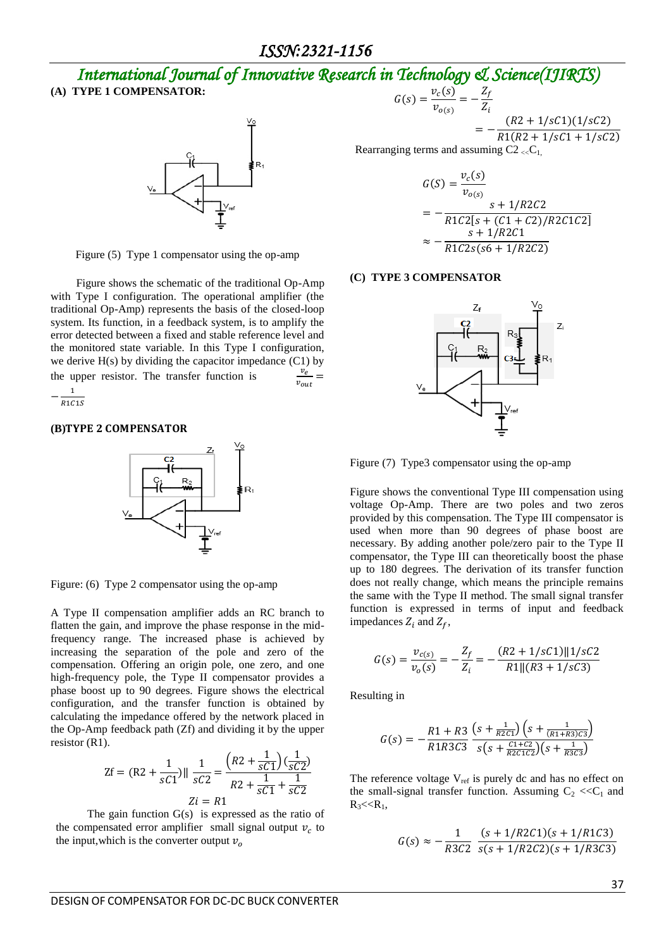# *International Journal of Innovative Research in Technology & Science(IJIRTS)*

**(A) TYPE 1 COMPENSATOR:** 



Figure (5) Type 1 compensator using the op-amp

 Figure shows the schematic of the traditional Op-Amp with Type I configuration. The operational amplifier (the traditional Op-Amp) represents the basis of the closed-loop system. Its function, in a feedback system, is to amplify the error detected between a fixed and stable reference level and the monitored state variable. In this Type I configuration, we derive  $H(s)$  by dividing the capacitor impedance  $(C1)$  by the upper resistor. The transfer function is  $\frac{v_e}{\ }$  =  $v_{out}$  $\mathbf{1}$ 

 $\overline{\phantom{0}}$  $rac{1}{R1C1S}$ 

#### **(B)**



Figure: (6) Type 2 compensator using the op-amp

A Type II compensation amplifier adds an RC branch to flatten the gain, and improve the phase response in the midfrequency range. The increased phase is achieved by increasing the separation of the pole and zero of the compensation. Offering an origin pole, one zero, and one high-frequency pole, the Type II compensator provides a phase boost up to 90 degrees. Figure shows the electrical configuration, and the transfer function is obtained by calculating the impedance offered by the network placed in the Op-Amp feedback path (Zf) and dividing it by the upper resistor (R1).

$$
\text{Zf} = (\text{R2} + \frac{1}{sC1}) \|\frac{1}{sC2} = \frac{\left(R2 + \frac{1}{sC1}\right)\left(\frac{1}{sC2}\right)}{R2 + \frac{1}{sC1} + \frac{1}{sC2}}
$$
\n
$$
\text{Zi} = R1
$$

The gain function  $G(s)$  is expressed as the ratio of the compensated error amplifier small signal output  $v_c$  to the input, which is the converter output  $v<sub>o</sub>$ 

$$
G(s) = \frac{v_c(s)}{v_{o(s)}} = -\frac{Z_f}{Z_i}
$$
\n
$$
(R2 + 1/sC1)(1/sC2)
$$

 $=$  $R1(R2 + 1/sC1 + 1/sC2)$ 

Rearranging terms and assuming  $C2 < C<sub>1</sub>$ ,

$$
G(S) = \frac{v_c(s)}{v_{o(s)}}
$$
  
=  $-\frac{s + 1/R2C2}{R1C2[s + (C1 + C2)/R2C1C2]}$   
 $\approx -\frac{s + 1/R2C1}{R1C2s(s6 + 1/R2C2)}$ 

#### **(C) TYPE 3 COMPENSATOR**



Figure (7) Type3 compensator using the op-amp

Figure shows the conventional Type III compensation using voltage Op-Amp. There are two poles and two zeros provided by this compensation. The Type III compensator is used when more than 90 degrees of phase boost are necessary. By adding another pole/zero pair to the Type II compensator, the Type III can theoretically boost the phase up to 180 degrees. The derivation of its transfer function does not really change, which means the principle remains the same with the Type II method. The small signal transfer function is expressed in terms of input and feedback impedances  $Z_i$  and  $Z_f$ ,

$$
G(s) = \frac{v_{c(s)}}{v_o(s)} = -\frac{Z_f}{Z_i} = -\frac{(R2 + 1/sC1) \| 1/sC2}{R1 \| (R3 + 1/sC3)}
$$

Resulting in

$$
G(s) = -\frac{R1 + R3}{R1R3C3} \frac{\left(s + \frac{1}{R2C1}\right)\left(s + \frac{1}{(R1 + R3)C3}\right)}{s\left(s + \frac{C1 + C2}{R2C1C2}\right)\left(s + \frac{1}{R3C3}\right)}
$$

The reference voltage  $V_{ref}$  is purely dc and has no effect on the small-signal transfer function. Assuming  $C_2 \ll C_1$  and  $R_3 < R_1$ ,

$$
G(s) \approx -\frac{1}{R3C2} \frac{(s + 1/R2C1)(s + 1/R1C3)}{s(s + 1/R2C2)(s + 1/R3C3)}
$$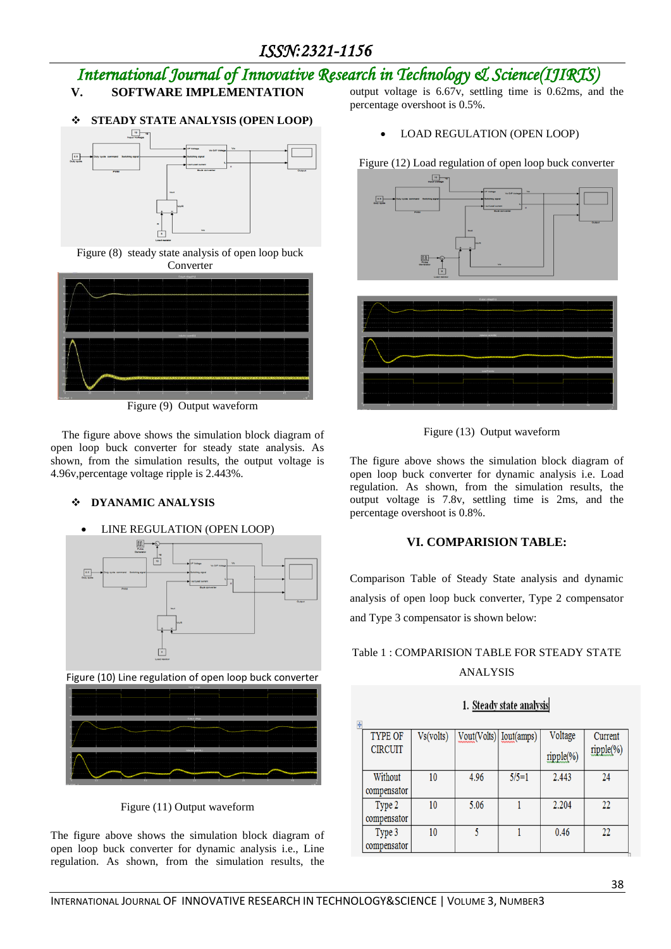## *International Journal of Innovative Research in Technology & Science(IJIRTS)*

## **V. SOFTWARE IMPLEMENTATION**

#### **STEADY STATE ANALYSIS (OPEN LOOP)**



Figure (8) steady state analysis of open loop buck Converter



Figure (9) Output waveform

The figure above shows the simulation block diagram of open loop buck converter for steady state analysis. As shown, from the simulation results, the output voltage is 4.96v,percentage voltage ripple is 2.443%.

### **DYANAMIC ANALYSIS**

#### LINE REGULATION (OPEN LOOP)





Figure (11) Output waveform

The figure above shows the simulation block diagram of open loop buck converter for dynamic analysis i.e., Line regulation. As shown, from the simulation results, the

output voltage is 6.67v, settling time is 0.62ms, and the percentage overshoot is 0.5%.

LOAD REGULATION (OPEN LOOP)

Figure (12) Load regulation of open loop buck converter







The figure above shows the simulation block diagram of open loop buck converter for dynamic analysis i.e. Load regulation. As shown, from the simulation results, the output voltage is 7.8v, settling time is 2ms, and the percentage overshoot is 0.8%.

### **VI. COMPARISION TABLE:**

Comparison Table of Steady State analysis and dynamic analysis of open loop buck converter, Type 2 compensator and Type 3 compensator is shown below:

## Table 1 : COMPARISION TABLE FOR STEADY STATE ANALYSIS

## 1. Steady state analysis

| <b>TYPE OF</b> | Vs(volts) | Vout(Volts) [Iout(amps) |         | Voltage   | Current   |  |
|----------------|-----------|-------------------------|---------|-----------|-----------|--|
| <b>CIRCUIT</b> |           |                         |         | ripple(%) | ripple(%) |  |
|                |           |                         |         |           |           |  |
| Without        | 10        | 4.96                    | $5/5=1$ | 2.443     | 24        |  |
| compensator    |           |                         |         |           |           |  |
| Type 2         | 10        | 5.06                    |         | 2.204     | 22        |  |
| compensator    |           |                         |         |           |           |  |
| Type 3         | 10        |                         |         | 0.46      | 22        |  |
| compensator    |           |                         |         |           |           |  |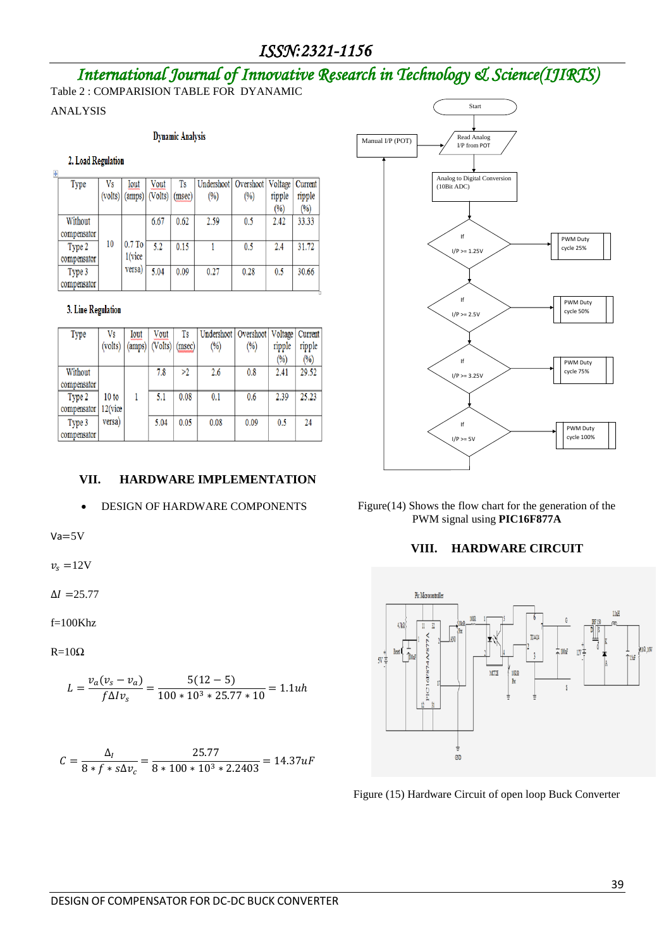## *ISSN:2321-1156*

# *International Journal of Innovative Research in Technology & Science(IJIRTS)*

Table 2 : COMPARISION TABLE FOR DYANAMIC

ANALYSIS

#### **Dynamic Analysis**

#### 2. Load Regulation

| $\ddot{\Phi}$ |             |         |          |         |        |            |           |         |         |
|---------------|-------------|---------|----------|---------|--------|------------|-----------|---------|---------|
|               | Type        | Vs      | Iout     | Vout    | Ts     | Undershoot | Overshoot | Voltage | Current |
|               |             | (volts) | (amps)   | (Volts) | (msec) | $(\%)$     | (%)       | ripple  | ripple  |
|               |             |         |          |         |        |            |           | (%)     | (%)     |
|               | Without     |         |          | 6.67    | 0.62   | 2.59       | 0.5       | 2.42    | 33.33   |
|               | compensator |         |          |         |        |            |           |         |         |
|               | Type 2      | 10      | $0.7$ To | 5.2     | 0.15   |            | 0.5       | 2.4     | 31.72   |
|               | compensator |         | 1(vice   |         |        |            |           |         |         |
|               | Type 3      |         | versa)   | 5.04    | 0.09   | 0.27       | 0.28      | 0.5     | 30.66   |
|               | compensator |         |          |         |        |            |           |         |         |

#### 3. Line Regulation

| Type        | Vs         | Iout   | Vout    | Ts     | Undershoot   Overshoot |      | Voltage        | Current |
|-------------|------------|--------|---------|--------|------------------------|------|----------------|---------|
|             | (volts)    | (amps) | (Volts) | (msec) | $\binom{0}{0}$         | (%)  | ripple         | ripple  |
|             |            |        |         |        |                        |      | $\binom{0}{0}$ | (%)     |
| Without     |            |        | 7.8     | >2     | 2.6                    | 0.8  | 2.41           | 29.52   |
| compensator |            |        |         |        |                        |      |                |         |
| Type 2      | 10 to      |        | 5.1     | 0.08   | 0.1                    | 0.6  | 2.39           | 25.23   |
| compensator | $12$ (vice |        |         |        |                        |      |                |         |
| Type 3      | versa)     |        | 5.04    | 0.05   | 0.08                   | 0.09 | 0.5            | 24      |
| compensator |            |        |         |        |                        |      |                |         |

#### **VII. HARDWARE IMPLEMENTATION**

#### DESIGN OF HARDWARE COMPONENTS

 $Va = 5V$ 

 $v_s = 12V$ 

 $\Delta I = 25.77$ 

f=100Khz

 $R=10\Omega$ 

$$
L = \frac{v_a(v_s - v_a)}{f \Delta l v_s} = \frac{5(12 - 5)}{100 \times 10^3 \times 25.77 \times 10} = 1.1uh
$$

$$
C = \frac{\Delta_I}{8 * f * s \Delta v_c} = \frac{25.77}{8 * 100 * 10^3 * 2.2403} = 14.37 uF
$$



Figure(14) Shows the flow chart for the generation of the PWM signal using **PIC16F877A**

#### **VIII. HARDWARE CIRCUIT**



Figure (15) Hardware Circuit of open loop Buck Converter